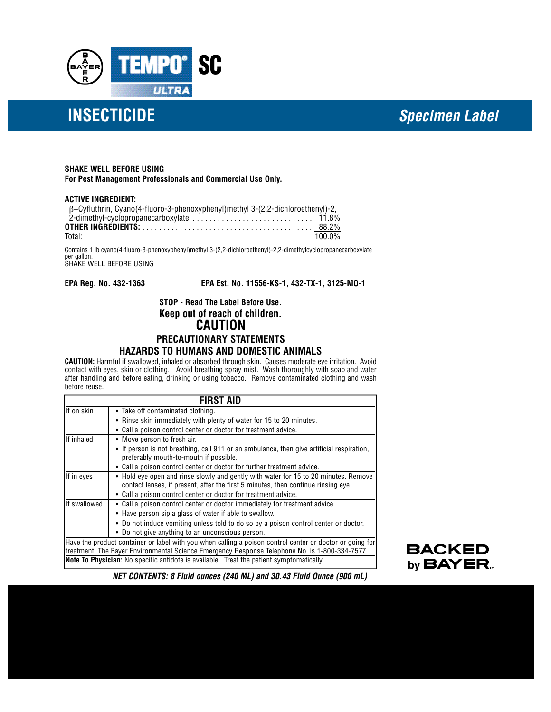

# **INSECTICIDE** *Specimen Label*

#### **SHAKE WELL BEFORE USING**

**For Pest Management Professionals and Commercial Use Only.**

#### **ACTIVE INGREDIENT:**

| $\beta$ -Cyfluthrin, Cyano(4-fluoro-3-phenoxyphenyl)methyl 3-(2,2-dichloroethenyl)-2, |  |
|---------------------------------------------------------------------------------------|--|
|                                                                                       |  |
|                                                                                       |  |
| 100.0%<br>Total:                                                                      |  |

Contains 1 lb cyano(4-fluoro-3-phenoxyphenyl)methyl 3-(2,2-dichloroethenyl)-2,2-dimethylcyclopropanecarboxylate per gallon. SHAKE WELL BEFORE USING

**EPA Reg. No. 432-1363 EPA Est. No. 11556-KS-1, 432-TX-1, 3125-MO-1**

## **STOP - Read The Label Before Use. Keep out of reach of children. CAUTION PRECAUTIONARY STATEMENTS HAZARDS TO HUMANS AND DOMESTIC ANIMALS**

**CAUTION:** Harmful if swallowed, inhaled or absorbed through skin. Causes moderate eye irritation. Avoid contact with eyes, skin or clothing. Avoid breathing spray mist. Wash thoroughly with soap and water after handling and before eating, drinking or using tobacco. Remove contaminated clothing and wash before reuse.

|                                                                                                                                                                                                            | FIRST AID                                                                                                                                                                |  |
|------------------------------------------------------------------------------------------------------------------------------------------------------------------------------------------------------------|--------------------------------------------------------------------------------------------------------------------------------------------------------------------------|--|
| If on skin                                                                                                                                                                                                 | • Take off contaminated clothing.                                                                                                                                        |  |
|                                                                                                                                                                                                            | • Rinse skin immediately with plenty of water for 15 to 20 minutes.                                                                                                      |  |
|                                                                                                                                                                                                            | • Call a poison control center or doctor for treatment advice.                                                                                                           |  |
| If inhaled                                                                                                                                                                                                 | • Move person to fresh air.                                                                                                                                              |  |
|                                                                                                                                                                                                            | • If person is not breathing, call 911 or an ambulance, then give artificial respiration,<br>preferably mouth-to-mouth if possible.                                      |  |
|                                                                                                                                                                                                            | • Call a poison control center or doctor for further treatment advice.                                                                                                   |  |
| If in eyes                                                                                                                                                                                                 | • Hold eye open and rinse slowly and gently with water for 15 to 20 minutes. Remove<br>contact lenses, if present, after the first 5 minutes, then continue rinsing eye. |  |
|                                                                                                                                                                                                            | • Call a poison control center or doctor for treatment advice.                                                                                                           |  |
| If swallowed                                                                                                                                                                                               | • Call a poison control center or doctor immediately for treatment advice.                                                                                               |  |
|                                                                                                                                                                                                            | • Have person sip a glass of water if able to swallow.                                                                                                                   |  |
|                                                                                                                                                                                                            | • Do not induce vomiting unless told to do so by a poison control center or doctor.                                                                                      |  |
|                                                                                                                                                                                                            | • Do not give anything to an unconscious person.                                                                                                                         |  |
| Have the product container or label with you when calling a poison control center or doctor or going for<br>treatment. The Bayer Environmental Science Emergency Response Telephone No. is 1-800-334-7577. |                                                                                                                                                                          |  |
| <b>Note To Physician:</b> No specific antidote is available. Treat the patient symptomatically.                                                                                                            |                                                                                                                                                                          |  |



*NET CONTENTS: 8 Fluid ounces (240 ML) and 30.43 Fluid Ounce (900 mL)*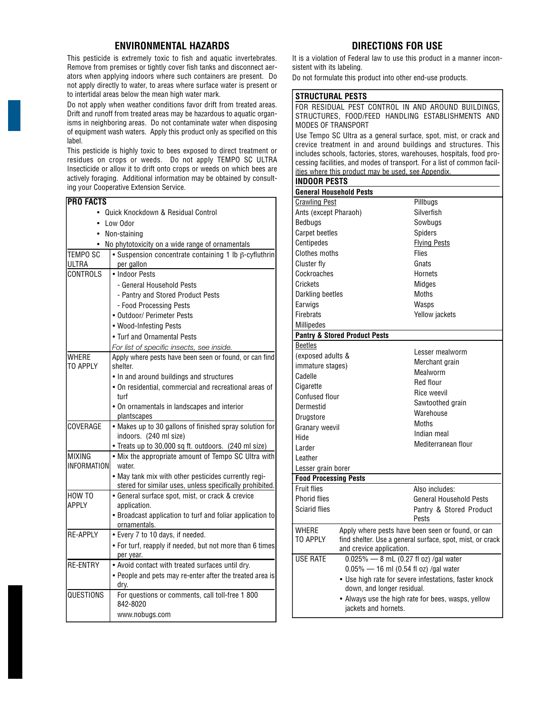# **ENVIRONMENTAL HAZARDS**

This pesticide is extremely toxic to fish and aquatic invertebrates. Remove from premises or tightly cover fish tanks and disconnect aerators when applying indoors where such containers are present. Do not apply directly to water, to areas where surface water is present or to intertidal areas below the mean high water mark.

Do not apply when weather conditions favor drift from treated areas. Drift and runoff from treated areas may be hazardous to aquatic organisms in neighboring areas. Do not contaminate water when disposing of equipment wash waters. Apply this product only as specified on this label.

This pesticide is highly toxic to bees exposed to direct treatment or residues on crops or weeds. Do not apply TEMPO SC ULTRA Insecticide or allow it to drift onto crops or weeds on which bees are actively foraging. Additional information may be obtained by consulting your Cooperative Extension Service.

| IPRO FACTS                         |                                                                                                    |  |
|------------------------------------|----------------------------------------------------------------------------------------------------|--|
| Quick Knockdown & Residual Control |                                                                                                    |  |
| Low Odor<br>$\bullet$              |                                                                                                    |  |
| Non-staining<br>٠                  |                                                                                                    |  |
| ٠                                  | No phytotoxicity on a wide range of ornamentals                                                    |  |
| TEMPO SC                           | • Suspension concentrate containing 1 lb $\beta$ -cyfluthrin                                       |  |
| ULTRA                              | per gallon                                                                                         |  |
| CONTROLS                           | • Indoor Pests                                                                                     |  |
|                                    | - General Household Pests                                                                          |  |
|                                    | - Pantry and Stored Product Pests                                                                  |  |
|                                    | - Food Processing Pests                                                                            |  |
|                                    | • Outdoor/ Perimeter Pests                                                                         |  |
|                                    | • Wood-Infesting Pests                                                                             |  |
|                                    | • Turf and Ornamental Pests                                                                        |  |
|                                    | For list of specific insects, see inside.                                                          |  |
| WHERE                              | Apply where pests have been seen or found, or can find                                             |  |
| TO APPLY                           | shelter.                                                                                           |  |
|                                    | . In and around buildings and structures<br>• On residential, commercial and recreational areas of |  |
|                                    | turf                                                                                               |  |
|                                    | • On ornamentals in landscapes and interior                                                        |  |
|                                    | plantscapes                                                                                        |  |
| COVERAGE                           | • Makes up to 30 gallons of finished spray solution for                                            |  |
|                                    | indoors. (240 ml size)                                                                             |  |
|                                    | • Treats up to 30,000 sq ft. outdoors. (240 ml size)                                               |  |
| MIXING                             | • Mix the appropriate amount of Tempo SC Ultra with                                                |  |
| <b>INFORMATION</b>                 | water.                                                                                             |  |
|                                    | . May tank mix with other pesticides currently regi-                                               |  |
|                                    | stered for similar uses, unless specifically prohibited.                                           |  |
| HOW TO<br><b>APPIY</b>             | • General surface spot, mist, or crack & crevice<br>application.                                   |  |
|                                    | • Broadcast application to turf and foliar application to                                          |  |
|                                    | ornamentals.                                                                                       |  |
| <b>RF-APPIY</b>                    | • Every 7 to 10 days, if needed.                                                                   |  |
|                                    | . For turf, reapply if needed, but not more than 6 times                                           |  |
|                                    | per year.                                                                                          |  |
| <b>RE-ENTRY</b>                    | • Avoid contact with treated surfaces until dry.                                                   |  |
|                                    | • People and pets may re-enter after the treated area is                                           |  |
|                                    | drv.                                                                                               |  |
| QUESTIONS                          | For questions or comments, call toll-free 1 800                                                    |  |
|                                    | 842-8020                                                                                           |  |
|                                    | www.nobugs.com                                                                                     |  |

# **DIRECTIONS FOR USE**

It is a violation of Federal law to use this product in a manner inconsistent with its labeling.

FOR RESIDUAL PEST CONTROL IN AND AROUND BUILDINGS,

Do not formulate this product into other end-use products.

#### **STRUCTURAL PESTS**

| STRUCTURES, FOOD/FEED HANDLING ESTABLISHMENTS AND<br>MODES OF TRANSPORT |                                                           |
|-------------------------------------------------------------------------|-----------------------------------------------------------|
| Use Tempo SC Ultra as a general surface, spot, mist, or crack and       |                                                           |
| crevice treatment in and around buildings and structures. This          |                                                           |
| includes schools, factories, stores, warehouses, hospitals, food pro-   |                                                           |
| cessing facilities, and modes of transport. For a list of common facil- |                                                           |
| ities where this product may be used, see Appendix.                     |                                                           |
| <b>INDOOR PESTS</b>                                                     |                                                           |
| <b>General Household Pests</b>                                          |                                                           |
| <b>Crawling Pest</b>                                                    | Pillbugs                                                  |
| Ants (except Pharaoh)                                                   | Silverfish                                                |
| Bedbugs                                                                 | Sowbuas                                                   |
| <b>Carpet beetles</b>                                                   | Spiders                                                   |
| Centipedes                                                              | <b>Flying Pests</b>                                       |
| Clothes moths                                                           | Flies                                                     |
| Cluster fly                                                             | Gnats                                                     |
| Cockroaches                                                             | Hornets                                                   |
| Crickets                                                                | Midges                                                    |
| Darkling beetles                                                        | Moths                                                     |
| Earwigs                                                                 | Wasps                                                     |
| <b>Firebrats</b>                                                        | Yellow jackets                                            |
| Millipedes                                                              |                                                           |
| <b>Pantry &amp; Stored Product Pests</b>                                |                                                           |
| <b>Beetles</b>                                                          |                                                           |
| (exposed adults &                                                       | Lesser mealworm                                           |
| immature stages)                                                        | Merchant grain                                            |
| Cadelle                                                                 | Mealworm                                                  |
| Cigarette                                                               | Red flour                                                 |
| <b>Confused flour</b>                                                   | Rice weevil                                               |
| Dermestid                                                               | Sawtoothed grain                                          |
| Drugstore                                                               | Warehouse                                                 |
| Granary weevil                                                          | Moths                                                     |
| Hide                                                                    | Indian meal                                               |
| Larder                                                                  | Mediterranean flour                                       |
| Leather                                                                 |                                                           |
| Lesser grain borer                                                      |                                                           |
| <b>Food Processing Pests</b>                                            |                                                           |
| <b>Fruit flies</b>                                                      | Also includes:                                            |
| <b>Phorid flies</b>                                                     | <b>General Household Pests</b>                            |
| <b>Sciarid flies</b>                                                    | Pantry & Stored Product                                   |
|                                                                         | Pests                                                     |
| WHERE                                                                   | Apply where pests have been seen or found, or can         |
| TO APPLY                                                                | find shelter. Use a general surface, spot, mist, or crack |
| and crevice application.                                                |                                                           |
| $0.025\%$ - 8 mL (0.27 fl oz) /gal water<br>USE RATE                    |                                                           |
| $0.05\%$ - 16 ml (0.54 fl oz) /gal water                                |                                                           |
|                                                                         | • Use high rate for severe infestations, faster knock     |
| down, and longer residual.                                              |                                                           |
|                                                                         | • Always use the high rate for bees, wasps, yellow        |
| jackets and hornets.                                                    |                                                           |
|                                                                         |                                                           |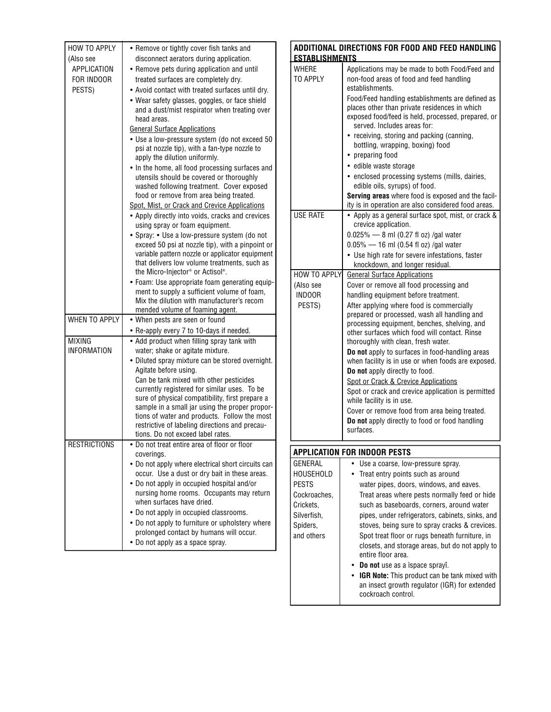| <b>HOW TO APPLY</b>  | • Remove or tightly cover fish tanks and                                                        |
|----------------------|-------------------------------------------------------------------------------------------------|
| (Also see            | disconnect aerators during application.                                                         |
| <b>APPLICATION</b>   | • Remove pets during application and until                                                      |
| FOR INDOOR           | treated surfaces are completely dry.                                                            |
| PESTS)               | • Avoid contact with treated surfaces until dry.                                                |
|                      | • Wear safety glasses, goggles, or face shield                                                  |
|                      | and a dust/mist respirator when treating over                                                   |
|                      | head areas.                                                                                     |
|                      | <b>General Surface Applications</b>                                                             |
|                      | • Use a low-pressure system (do not exceed 50                                                   |
|                      | psi at nozzle tip), with a fan-type nozzle to<br>apply the dilution uniformly.                  |
|                      | • In the home, all food processing surfaces and                                                 |
|                      | utensils should be covered or thoroughly                                                        |
|                      | washed following treatment. Cover exposed                                                       |
|                      | food or remove from area being treated.                                                         |
|                      | Spot, Mist, or Crack and Crevice Applications                                                   |
|                      | • Apply directly into voids, cracks and crevices                                                |
|                      | using spray or foam equipment.                                                                  |
|                      | • Spray: • Use a low-pressure system (do not                                                    |
|                      | exceed 50 psi at nozzle tip), with a pinpoint or                                                |
|                      | variable pattern nozzle or applicator equipment<br>that delivers low volume treatments, such as |
|                      | the Micro-Injector® or Actisol®.                                                                |
|                      | • Foam: Use appropriate foam generating equip-                                                  |
|                      | ment to supply a sufficient volume of foam,                                                     |
|                      | Mix the dilution with manufacturer's recom                                                      |
|                      | mended volume of foaming agent.                                                                 |
| <b>WHEN TO APPLY</b> | • When pests are seen or found                                                                  |
| <b>MIXING</b>        | • Re-apply every 7 to 10-days if needed.                                                        |
| <b>INFORMATION</b>   | • Add product when filling spray tank with<br>water; shake or agitate mixture.                  |
|                      | • Diluted spray mixture can be stored overnight.                                                |
|                      | Agitate before using.                                                                           |
|                      | Can be tank mixed with other pesticides                                                         |
|                      | currently registered for similar uses. To be                                                    |
|                      | sure of physical compatibility, first prepare a                                                 |
|                      | sample in a small jar using the proper propor-                                                  |
|                      | tions of water and products. Follow the most<br>restrictive of labeling directions and precau-  |
|                      | tions. Do not exceed label rates.                                                               |
| <b>RESTRIGHUNS</b>   | Do not treat entire area of floor or floor                                                      |
|                      | coverings.                                                                                      |
|                      | • Do not apply where electrical short circuits can                                              |
|                      | occur. Use a dust or dry bait in these areas.                                                   |
|                      | • Do not apply in occupied hospital and/or                                                      |
|                      | nursing home rooms. Occupants may return                                                        |
|                      | when surfaces have dried.                                                                       |
|                      | • Do not apply in occupied classrooms.                                                          |
|                      | • Do not apply to furniture or upholstery where<br>prolonged contact by humans will occur.      |
|                      | • Do not apply as a space spray.                                                                |
|                      |                                                                                                 |

| ADDITIONAL DIRECTIONS FOR FOOD AND FEED HANDLING<br><b>ESTABLISHMENTS</b>                                         |                                                                                                                                                                                                                                                                                                                                                                                                                                                                                                                                                                                                                                                                                                                                                   |  |  |
|-------------------------------------------------------------------------------------------------------------------|---------------------------------------------------------------------------------------------------------------------------------------------------------------------------------------------------------------------------------------------------------------------------------------------------------------------------------------------------------------------------------------------------------------------------------------------------------------------------------------------------------------------------------------------------------------------------------------------------------------------------------------------------------------------------------------------------------------------------------------------------|--|--|
| <b>WHERE</b><br>TO APPLY                                                                                          | Applications may be made to both Food/Feed and<br>non-food areas of food and feed handling<br>establishments.<br>Food/Feed handling establishments are defined as<br>places other than private residences in which<br>exposed food/feed is held, processed, prepared, or<br>served. Includes areas for:<br>• receiving, storing and packing (canning,<br>bottling, wrapping, boxing) food<br>• preparing food<br>• edible waste storage<br>• enclosed processing systems (mills, dairies,<br>edible oils, syrups) of food.<br>Serving areas where food is exposed and the facil-<br>ity is in operation are also considered food areas.                                                                                                           |  |  |
| <b>USE RATE</b>                                                                                                   | • Apply as a general surface spot, mist, or crack &<br>crevice application.<br>$0.025\%$ - 8 ml (0.27 fl oz) /gal water<br>$0.05\%$ — 16 ml (0.54 fl oz) /gal water<br>• Use high rate for severe infestations, faster<br>knockdown, and longer residual.                                                                                                                                                                                                                                                                                                                                                                                                                                                                                         |  |  |
| HOW TO APPLY<br>(Also see<br><b>INDOOR</b><br>PESTS)                                                              | <b>General Surface Applications</b><br>Cover or remove all food processing and<br>handling equipment before treatment.<br>After applying where food is commercially<br>prepared or processed, wash all handling and<br>processing equipment, benches, shelving, and<br>other surfaces which food will contact. Rinse<br>thoroughly with clean, fresh water.<br>Do not apply to surfaces in food-handling areas<br>when facility is in use or when foods are exposed.<br>Do not apply directly to food.<br>Spot or Crack & Crevice Applications<br>Spot or crack and crevice application is permitted<br>while facility is in use.<br>Cover or remove food from area being treated.<br>Do not apply directly to food or food handling<br>surfaces. |  |  |
|                                                                                                                   | <b>APPLICATION FOR INDOOR PESTS</b>                                                                                                                                                                                                                                                                                                                                                                                                                                                                                                                                                                                                                                                                                                               |  |  |
| GENERAL<br><b>HOUSEHOLD</b><br><b>PESTS</b><br>Cockroaches,<br>Crickets,<br>Silverfish,<br>Spiders,<br>and others | Use a coarse, low-pressure spray.<br>Treat entry points such as around<br>water pipes, doors, windows, and eaves.<br>Treat areas where pests normally feed or hide<br>such as baseboards, corners, around water<br>pipes, under refrigerators, cabinets, sinks, and<br>stoves, being sure to spray cracks & crevices.<br>Spot treat floor or rugs beneath furniture, in<br>closets, and storage areas, but do not apply to<br>entire floor area.<br>Do not use as a ispace sprayî.<br>IGR Note: This product can be tank mixed with<br>an insect growth regulator (IGR) for extended                                                                                                                                                              |  |  |

cockroach control.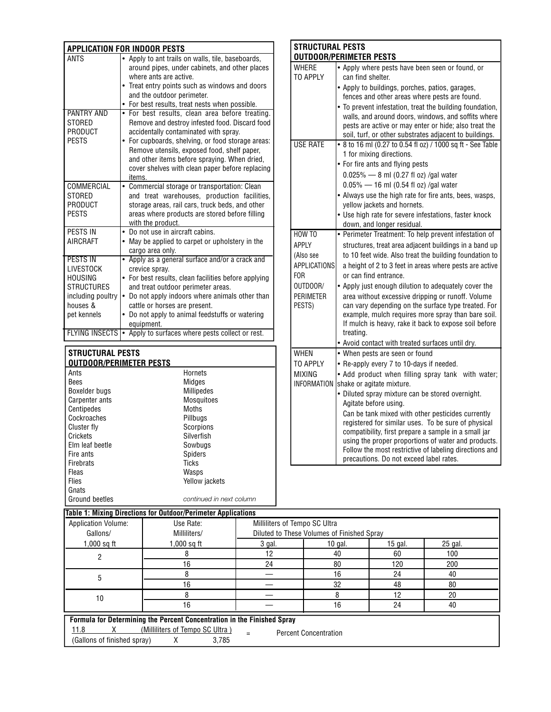| <b>APPLICATION FOR INDOOR PESTS</b>                                                                                        |                                                                                                                                                                                                                                                                                                                                                              |  |
|----------------------------------------------------------------------------------------------------------------------------|--------------------------------------------------------------------------------------------------------------------------------------------------------------------------------------------------------------------------------------------------------------------------------------------------------------------------------------------------------------|--|
| <b>ANTS</b>                                                                                                                | Apply to ant trails on walls, tile, baseboards,<br>$\bullet$<br>around pipes, under cabinets, and other places<br>where ants are active.<br>Treat entry points such as windows and doors<br>and the outdoor perimeter.<br>• For best results, treat nests when possible.                                                                                     |  |
| PANTRY AND<br><b>STORED</b><br>PRODUCT<br><b>PESTS</b>                                                                     | For best results, clean area before treating.<br>٠<br>Remove and destroy infested food. Discard food<br>accidentally contaminated with spray.<br>For cupboards, shelving, or food storage areas:<br>Remove utensils, exposed food, shelf paper,<br>and other items before spraying. When dried,<br>cover shelves with clean paper before replacing<br>items. |  |
| COMMERCIAL<br><b>STORED</b><br>PRODUCT<br><b>PESTS</b>                                                                     | • Commercial storage or transportation: Clean<br>and treat warehouses, production facilities,<br>storage areas, rail cars, truck beds, and other<br>areas where products are stored before filling<br>with the product.                                                                                                                                      |  |
| PESTS IN<br><b>AIRCRAFT</b>                                                                                                | • Do not use in aircraft cabins.<br>May be applied to carpet or upholstery in the<br>cargo area only.                                                                                                                                                                                                                                                        |  |
| <b>PESTS IN</b><br><b>LIVESTOCK</b><br><b>HOUSING</b><br><b>STRUCTURES</b><br>including poultry<br>houses &<br>pet kennels | Apply as a general surface and/or a crack and<br>٠<br>crevice spray.<br>• For best results, clean facilities before applying<br>and treat outdoor perimeter areas.<br>Do not apply indoors where animals other than<br>$\bullet$<br>cattle or horses are present.<br>Do not apply to animal feedstuffs or watering<br>equipment.                             |  |
| <b>FLYING INSECTS</b>                                                                                                      | • Apply to surfaces where pests collect or rest.                                                                                                                                                                                                                                                                                                             |  |

| <b>STRUCTURAL PESTS</b>        |                          |
|--------------------------------|--------------------------|
| <b>OUTDOOR/PERIMETER PESTS</b> |                          |
| Ants                           | Hornets                  |
| <b>Bees</b>                    | Midges                   |
| Boxelder bugs                  | Millipedes               |
| Carpenter ants                 | Mosquitoes               |
| Centipedes                     | Moths                    |
| Cockroaches                    | Pillbugs                 |
| Cluster fly                    | Scorpions                |
| Crickets                       | Silverfish               |
| Elm leaf beetle                | Sowbugs                  |
| Fire ants                      | Spiders                  |
| Firebrats                      | Ticks                    |
| Fleas                          | Wasps                    |
| <b>Flies</b>                   | Yellow jackets           |
| Gnats                          |                          |
| Ground beetles                 | continued in next column |

| <b>STRUCTURAL PESTS</b><br><b>OUTDOOR/PERIMETER PESTS</b>                                                        |                                                                                                                                                                                                                                                                                                                                                                                                                                                                                                                                                                                                                   |  |
|------------------------------------------------------------------------------------------------------------------|-------------------------------------------------------------------------------------------------------------------------------------------------------------------------------------------------------------------------------------------------------------------------------------------------------------------------------------------------------------------------------------------------------------------------------------------------------------------------------------------------------------------------------------------------------------------------------------------------------------------|--|
| <b>WHERE</b><br>TO APPIY                                                                                         | • Apply where pests have been seen or found, or<br>can find shelter.<br>• Apply to buildings, porches, patios, garages,<br>fences and other areas where pests are found.<br>• To prevent infestation, treat the building foundation,<br>walls, and around doors, windows, and soffits where<br>pests are active or may enter or hide; also treat the<br>soil, turf, or other substrates adjacent to buildings.                                                                                                                                                                                                    |  |
| <b>USE RATE</b>                                                                                                  | • 8 to 16 ml (0.27 to 0.54 fl oz) / 1000 sq ft - See Table<br>1 for mixing directions.<br>• For fire ants and flying pests<br>0.025% - 8 ml (0.27 fl oz) /gal water<br>$0.05\%$ — 16 ml (0.54 fl oz) /gal water<br>• Always use the high rate for fire ants, bees, wasps,<br>yellow jackets and hornets.<br>• Use high rate for severe infestations, faster knock<br>down, and longer residual.                                                                                                                                                                                                                   |  |
| HOW TO<br>APPLY<br>(Also see<br><b>APPLICATIONS</b><br>F <sub>OR</sub><br>OUTDOOR/<br><b>PERIMETER</b><br>PESTS) | • Perimeter Treatment: To help prevent infestation of<br>structures, treat area adjacent buildings in a band up<br>to 10 feet wide. Also treat the building foundation to<br>a height of 2 to 3 feet in areas where pests are active<br>or can find entrance.<br>• Apply just enough dilution to adequately cover the<br>area without excessive dripping or runoff. Volume<br>can vary depending on the surface type treated. For<br>example, mulch requires more spray than bare soil.<br>If mulch is heavy, rake it back to expose soil before<br>treating.<br>• Avoid contact with treated surfaces until dry. |  |
| <b>WHEN</b><br>TO APPLY<br><b>MIXING</b><br><b>INFORMATION</b>                                                   | • When pests are seen or found<br>• Re-apply every 7 to 10-days if needed.<br>• Add product when filling spray tank with water;<br>shake or agitate mixture.<br>• Diluted spray mixture can be stored overnight.<br>Agitate before using.<br>Can be tank mixed with other pesticides currently<br>registered for similar uses. To be sure of physical<br>compatibility, first prepare a sample in a small jar<br>using the proper proportions of water and products.<br>Follow the most restrictive of labeling directions and<br>precautions. Do not exceed label rates.                                         |  |

| <b>Table 1: Mixing Directions for Outdoor/Perimeter Applications</b>    |              |                                            |         |           |         |
|-------------------------------------------------------------------------|--------------|--------------------------------------------|---------|-----------|---------|
| <b>Application Volume:</b>                                              | Use Rate:    | Milliliters of Tempo SC Ultra              |         |           |         |
| Gallons/                                                                | Milliliters/ | Diluted to These Volumes of Finished Spray |         |           |         |
| $1,000$ sq ft                                                           | 1,000 sq ft  | $3$ gal.                                   | 10 gal. | $15$ gal. | 25 gal. |
| 2                                                                       |              | 12                                         | 40      | 60        | 100     |
|                                                                         | 16           | 24                                         | 80      | 120       | 200     |
| 5                                                                       |              |                                            | 16      | 24        | 40      |
|                                                                         | 16           |                                            | 32      | 48        | 80      |
| 10                                                                      |              |                                            |         | 12        | 20      |
|                                                                         | 16           |                                            | 16      | 24        | 40      |
| Formula for Determining the Percent Concentration in the Finished Spray |              |                                            |         |           |         |
| 11.8<br>(Milliliters of Tempo SC Ultra)<br><b>Percent Concentration</b> |              |                                            |         |           |         |
| (Gallons of finished spray)                                             | 3.785<br>X   |                                            |         |           |         |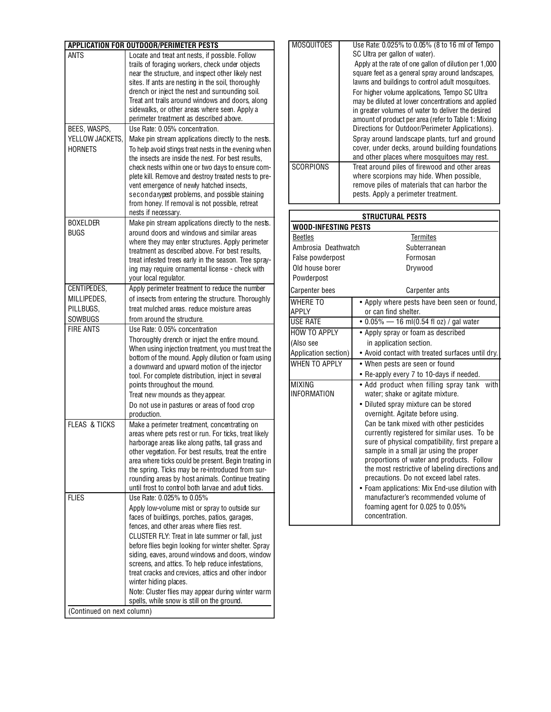| <b>APPLICATION FOR OUTDOOR/PERIMETER PESTS</b> |                                                                                                                                                                                                                                                                                                                                                                                                                                                                                                                                                                               |  |  |
|------------------------------------------------|-------------------------------------------------------------------------------------------------------------------------------------------------------------------------------------------------------------------------------------------------------------------------------------------------------------------------------------------------------------------------------------------------------------------------------------------------------------------------------------------------------------------------------------------------------------------------------|--|--|
| <b>ANTS</b>                                    | Locate and treat ant nests, if possible. Follow<br>trails of foraging workers, check under objects<br>near the structure, and inspect other likely nest<br>sites. If ants are nesting in the soil, thoroughly<br>drench or inject the nest and surrounding soil.<br>Treat ant trails around windows and doors, along<br>sidewalks, or other areas where seen. Apply a<br>perimeter treatment as described above.                                                                                                                                                              |  |  |
| BEES, WASPS,                                   | Use Rate: 0.05% concentration.                                                                                                                                                                                                                                                                                                                                                                                                                                                                                                                                                |  |  |
| YELLOW JACKETS,<br><b>HORNFTS</b>              | Make pin stream applications directly to the nests.<br>To help avoid stings treat nests in the evening when<br>the insects are inside the nest. For best results.<br>check nests within one or two days to ensure com-<br>plete kill. Remove and destroy treated nests to pre-<br>vent emergence of newly hatched insects,<br>secondarypest problems, and possible staining<br>from honey. If removal is not possible, retreat<br>nests if necessary.                                                                                                                         |  |  |
| <b>BOXELDER</b>                                | Make pin stream applications directly to the nests.                                                                                                                                                                                                                                                                                                                                                                                                                                                                                                                           |  |  |
| <b>BUGS</b>                                    | around doors and windows and similar areas<br>where they may enter structures. Apply perimeter<br>treatment as described above. For best results,<br>treat infested trees early in the season. Tree spray-<br>ing may require ornamental license - check with<br>your local regulator.                                                                                                                                                                                                                                                                                        |  |  |
| CENTIPEDES,                                    | Apply perimeter treatment to reduce the number                                                                                                                                                                                                                                                                                                                                                                                                                                                                                                                                |  |  |
| MILLIPEDES,                                    | of insects from entering the structure. Thoroughly                                                                                                                                                                                                                                                                                                                                                                                                                                                                                                                            |  |  |
| PILLBUGS,                                      | treat mulched areas, reduce moisture areas                                                                                                                                                                                                                                                                                                                                                                                                                                                                                                                                    |  |  |
| SOWBUGS<br><b>FIRE ANTS</b>                    | from around the structure.<br>Use Rate: 0.05% concentration                                                                                                                                                                                                                                                                                                                                                                                                                                                                                                                   |  |  |
|                                                | Thoroughly drench or inject the entire mound.<br>When using injection treatment, you must treat the<br>bottom of the mound. Apply dilution or foam using<br>a downward and upward motion of the injector<br>tool. For complete distribution, inject in several<br>points throughout the mound.<br>Treat new mounds as they appear.<br>Do not use in pastures or areas of food crop<br>production.                                                                                                                                                                             |  |  |
| <b>FLEAS &amp; TICKS</b>                       | Make a perimeter treatment, concentrating on<br>areas where pets rest or run. For ticks, treat likely<br>harborage areas like along paths, tall grass and<br>other vegetation. For best results, treat the entire<br>area where ticks could be present. Begin treating in<br>the spring. Ticks may be re-introduced from sur-<br>rounding areas by host animals. Continue treating<br>until frost to control both larvae and adult ticks.                                                                                                                                     |  |  |
| <b>FLIES</b>                                   | Use Rate: 0.025% to 0.05%<br>Apply low-volume mist or spray to outside sur<br>faces of buildings, porches, patios, garages,<br>fences, and other areas where flies rest.<br>CLUSTER FLY: Treat in late summer or fall, just<br>before flies begin looking for winter shelter. Spray<br>siding, eaves, around windows and doors, window<br>screens, and attics. To help reduce infestations,<br>treat cracks and crevices, attics and other indoor<br>winter hiding places.<br>Note: Cluster flies may appear during winter warm<br>spells, while snow is still on the ground. |  |  |
| (Continued on next column)                     |                                                                                                                                                                                                                                                                                                                                                                                                                                                                                                                                                                               |  |  |

| <b>MOSQUITOES</b> | Use Rate: 0.025% to 0.05% (8 to 16 ml of Tempo<br>SC Ultra per gallon of water).<br>Apply at the rate of one gallon of dilution per 1,000<br>square feet as a general spray around landscapes,<br>lawns and buildings to control adult mosquitoes.<br>For higher volume applications, Tempo SC Ultra<br>may be diluted at lower concentrations and applied<br>in greater volumes of water to deliver the desired<br>amount of product per area (refer to Table 1: Mixing<br>Directions for Outdoor/Perimeter Applications).<br>Spray around landscape plants, turf and ground<br>cover, under decks, around building foundations<br>and other places where mosquitoes may rest. |
|-------------------|---------------------------------------------------------------------------------------------------------------------------------------------------------------------------------------------------------------------------------------------------------------------------------------------------------------------------------------------------------------------------------------------------------------------------------------------------------------------------------------------------------------------------------------------------------------------------------------------------------------------------------------------------------------------------------|
| <b>SCORPIONS</b>  | Treat around piles of firewood and other areas<br>where scorpions may hide. When possible,<br>remove piles of materials that can harbor the<br>pests. Apply a perimeter treatment.                                                                                                                                                                                                                                                                                                                                                                                                                                                                                              |

| <b>STRUCTURAL PESTS</b>     |                                                                                                                                                                                                                                                                                                                                                                                                                                      |  |
|-----------------------------|--------------------------------------------------------------------------------------------------------------------------------------------------------------------------------------------------------------------------------------------------------------------------------------------------------------------------------------------------------------------------------------------------------------------------------------|--|
| <b>WOOD-INFESTING PESTS</b> |                                                                                                                                                                                                                                                                                                                                                                                                                                      |  |
| <b>Beetles</b>              | <b>Termites</b>                                                                                                                                                                                                                                                                                                                                                                                                                      |  |
| Ambrosia Deathwatch         | Subterranean                                                                                                                                                                                                                                                                                                                                                                                                                         |  |
| False powderpost            | Formosan                                                                                                                                                                                                                                                                                                                                                                                                                             |  |
| Old house borer             | Drywood                                                                                                                                                                                                                                                                                                                                                                                                                              |  |
| Powderpost                  |                                                                                                                                                                                                                                                                                                                                                                                                                                      |  |
| <b>Carpenter bees</b>       | <b>Carpenter ants</b>                                                                                                                                                                                                                                                                                                                                                                                                                |  |
| WHERE TO<br>APPLY           | • Apply where pests have been seen or found,<br>or can find shelter.                                                                                                                                                                                                                                                                                                                                                                 |  |
| <b>USE RATE</b>             | • $0.05\%$ — 16 ml(0.54 fl oz) / gal water                                                                                                                                                                                                                                                                                                                                                                                           |  |
| HOW TO APPLY                | • Apply spray or foam as described                                                                                                                                                                                                                                                                                                                                                                                                   |  |
| (Also see                   | in application section.                                                                                                                                                                                                                                                                                                                                                                                                              |  |
| Application section)        | • Avoid contact with treated surfaces until dry.                                                                                                                                                                                                                                                                                                                                                                                     |  |
| WHEN TO APPLY               | • When pests are seen or found                                                                                                                                                                                                                                                                                                                                                                                                       |  |
|                             | • Re-apply every 7 to 10-days if needed.                                                                                                                                                                                                                                                                                                                                                                                             |  |
| MIXING                      | • Add product when filling spray tank<br>with                                                                                                                                                                                                                                                                                                                                                                                        |  |
| <b>INFORMATION</b>          | water; shake or agitate mixture.                                                                                                                                                                                                                                                                                                                                                                                                     |  |
|                             | • Diluted spray mixture can be stored                                                                                                                                                                                                                                                                                                                                                                                                |  |
|                             | overnight. Agitate before using.<br>Can be tank mixed with other pesticides                                                                                                                                                                                                                                                                                                                                                          |  |
|                             | currently registered for similar uses. To be<br>sure of physical compatibility, first prepare a<br>sample in a small jar using the proper<br>proportions of water and products. Follow<br>the most restrictive of labeling directions and<br>precautions. Do not exceed label rates.<br>• Foam applications: Mix End-use dilution with<br>manufacturer's recommended volume of<br>foaming agent for 0.025 to 0.05%<br>concentration. |  |
|                             |                                                                                                                                                                                                                                                                                                                                                                                                                                      |  |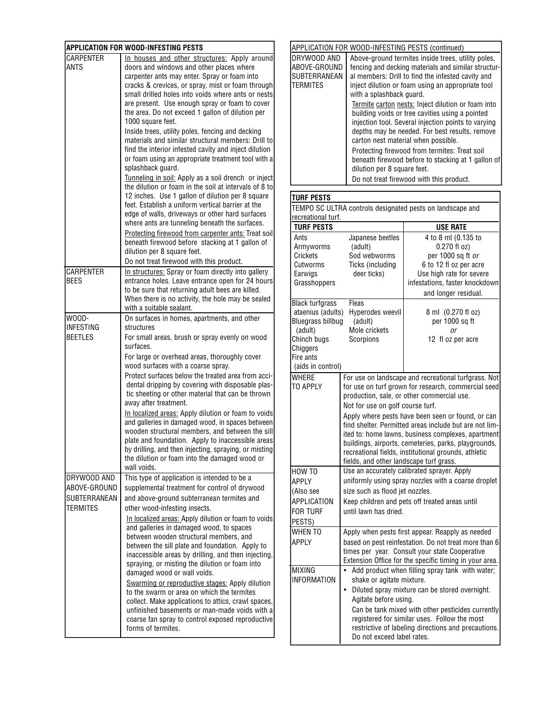| <b>APPLICATION FOR WOOD-INFESTING PESTS</b> |                                                                                                              |  |
|---------------------------------------------|--------------------------------------------------------------------------------------------------------------|--|
| CARPENTER                                   | In houses and other structures: Apply around                                                                 |  |
| ANTS                                        | doors and windows and other places where                                                                     |  |
|                                             | carpenter ants may enter. Spray or foam into                                                                 |  |
|                                             | cracks & crevices, or spray, mist or foam through                                                            |  |
|                                             | small drilled holes into voids where ants or nests                                                           |  |
|                                             | are present. Use enough spray or foam to cover                                                               |  |
|                                             | the area. Do not exceed 1 gallon of dilution per                                                             |  |
|                                             | 1000 square feet.                                                                                            |  |
|                                             | Inside trees, utility poles, fencing and decking                                                             |  |
|                                             | materials and similar structural members: Drill to                                                           |  |
|                                             | find the interior infested cavity and inject dilution                                                        |  |
|                                             | or foam using an appropriate treatment tool with a                                                           |  |
|                                             | splashback guard.                                                                                            |  |
|                                             | Tunneling in soil: Apply as a soil drench or inject<br>the dilution or foam in the soil at intervals of 8 to |  |
|                                             | 12 inches. Use 1 gallon of dilution per 8 square                                                             |  |
|                                             | feet. Establish a uniform vertical barrier at the                                                            |  |
|                                             | edge of walls, driveways or other hard surfaces                                                              |  |
|                                             | where ants are tunneling beneath the surfaces.                                                               |  |
|                                             |                                                                                                              |  |
|                                             | Protecting firewood from carpenter ants: Treat soil<br>beneath firewood before stacking at 1 gallon of       |  |
|                                             | dilution per 8 square feet.                                                                                  |  |
|                                             |                                                                                                              |  |
| CARPENTER                                   | Do not treat firewood with this product.                                                                     |  |
| <b>BEES</b>                                 | In structures: Spray or foam directly into gallery<br>entrance holes. Leave entrance open for 24 hours       |  |
|                                             |                                                                                                              |  |
|                                             | to be sure that returning adult bees are killed.                                                             |  |
|                                             | When there is no activity, the hole may be sealed<br>with a suitable sealant.                                |  |
| WOOD-                                       | On surfaces in homes, apartments, and other                                                                  |  |
| <b>INFESTING</b>                            | structures                                                                                                   |  |
| <b>BEETLES</b>                              | For small areas, brush or spray evenly on wood                                                               |  |
|                                             | surfaces.                                                                                                    |  |
|                                             |                                                                                                              |  |
|                                             | For large or overhead areas, thoroughly cover<br>wood surfaces with a coarse spray.                          |  |
|                                             | Protect surfaces below the treated area from acci-                                                           |  |
|                                             | dental dripping by covering with disposable plas-                                                            |  |
|                                             | tic sheeting or other material that can be thrown                                                            |  |
|                                             | away after treatment.                                                                                        |  |
|                                             | In localized areas: Apply dilution or foam to voids                                                          |  |
|                                             | and galleries in damaged wood, in spaces between                                                             |  |
|                                             | wooden structural members, and between the sill                                                              |  |
|                                             | plate and foundation. Apply to inaccessible areas                                                            |  |
|                                             | by drilling, and then injecting, spraying, or misting                                                        |  |
|                                             | the dilution or foam into the damaged wood or                                                                |  |
|                                             | wall voids.                                                                                                  |  |
| DRYWOOD AND                                 | This type of application is intended to be a                                                                 |  |
| ABOVE-GROUND                                | supplemental treatment for control of drywood                                                                |  |
| <b>SUBTERRANEAN</b>                         | and above-ground subterranean termites and                                                                   |  |
| <b>TERMITES</b>                             | other wood-infesting insects.                                                                                |  |
|                                             |                                                                                                              |  |
|                                             | In localized areas: Apply dilution or foam to voids<br>and galleries in damaged wood, to spaces              |  |
|                                             | between wooden structural members, and                                                                       |  |
|                                             | between the sill plate and foundation. Apply to                                                              |  |
|                                             | inaccessible areas by drilling, and then injecting,                                                          |  |
|                                             | spraying, or misting the dilution or foam into                                                               |  |
|                                             | damaged wood or wall voids.                                                                                  |  |
|                                             |                                                                                                              |  |
|                                             | Swarming or reproductive stages: Apply dilution<br>to the swarm or area on which the termites                |  |
|                                             | collect. Make applications to attics, crawl spaces,                                                          |  |
|                                             |                                                                                                              |  |
|                                             | unfinished basements or man-made voids with a<br>coarse fan spray to control exposed reproductive            |  |
|                                             | forms of termites.                                                                                           |  |
|                                             |                                                                                                              |  |

| APPLICATION FOR WOOD-INFESTING PESTS (continued)               |                                                                                                                                                                                                                                                                                                                                                                                                                                                                                                                                                                                                                                                                                            |  |
|----------------------------------------------------------------|--------------------------------------------------------------------------------------------------------------------------------------------------------------------------------------------------------------------------------------------------------------------------------------------------------------------------------------------------------------------------------------------------------------------------------------------------------------------------------------------------------------------------------------------------------------------------------------------------------------------------------------------------------------------------------------------|--|
| DRYWOOD AND<br>ABOVE-GROUND<br>SUBTERRANEAN<br><b>TERMITES</b> | Above-ground termites inside trees, utility poles,<br>fencing and decking materials and similar structur-<br>al members: Drill to find the infested cavity and<br>inject dilution or foam using an appropriate tool<br>with a splashback quard.<br>Termite carton nests: Inject dilution or foam into<br>building voids or tree cavities using a pointed<br>injection tool. Several injection points to varying<br>depths may be needed. For best results, remove<br>carton nest material when possible.<br>Protecting firewood from termites: Treat soil<br>beneath firewood before to stacking at 1 gallon of<br>dilution per 8 square feet.<br>Do not treat firewood with this product. |  |
|                                                                |                                                                                                                                                                                                                                                                                                                                                                                                                                                                                                                                                                                                                                                                                            |  |

# **TURF PESTS**

| recreational turf.                                                                                                                                                                                                    |                                                                                                                                                                                                                                                                                                                                                                                                                                                                                                                               | TEMPO SC ULTRA controls designated pests on landscape and                                                                                                                    |  |
|-----------------------------------------------------------------------------------------------------------------------------------------------------------------------------------------------------------------------|-------------------------------------------------------------------------------------------------------------------------------------------------------------------------------------------------------------------------------------------------------------------------------------------------------------------------------------------------------------------------------------------------------------------------------------------------------------------------------------------------------------------------------|------------------------------------------------------------------------------------------------------------------------------------------------------------------------------|--|
| <b>TURF PESTS</b>                                                                                                                                                                                                     |                                                                                                                                                                                                                                                                                                                                                                                                                                                                                                                               | <b>USE RATE</b>                                                                                                                                                              |  |
| Ants<br>Armyworms<br>Crickets<br>Cutworms<br>Earwigs<br>Grasshoppers                                                                                                                                                  | Japanese beetles<br>(adult)<br>Sod webworms<br>Ticks (including<br>deer ticks)                                                                                                                                                                                                                                                                                                                                                                                                                                                | 4 to 8 ml (0.135 to<br>$0.270$ fl $oz)$<br>per 1000 sq ft or<br>6 to 12 fl oz per acre<br>Use high rate for severe<br>infestations, faster knockdown<br>and longer residual. |  |
| Fleas<br><b>Black turfgrass</b><br>ataenius (adults)<br>Hyperodes weevil<br><b>Bluegrass billbug</b><br>(adult)<br>Mole crickets<br>(adult)<br>Chinch bugs<br>Scorpions<br>Chiggers<br>Fire ants<br>(aids in control) |                                                                                                                                                                                                                                                                                                                                                                                                                                                                                                                               | 8 ml (0.270 fl oz)<br>per 1000 sq ft<br>0r<br>12 fl oz per acre                                                                                                              |  |
| WHFRF<br>TO APPLY                                                                                                                                                                                                     | For use on landscape and recreational turfgrass. Not<br>for use on turf grown for research, commercial seed<br>production, sale, or other commercial use.<br>Not for use on golf course turf.<br>Apply where pests have been seen or found, or can<br>find shelter. Permitted areas include but are not lim-<br>ited to: home lawns, business complexes, apartment<br>buildings, airports, cemeteries, parks, playgrounds,<br>recreational fields, institutional grounds, athletic<br>fields, and other landscape turf grass. |                                                                                                                                                                              |  |
| HOW TO<br>APPLY<br>(Also see<br>APPLICATION<br><b>FOR TURF</b><br>PESTS)                                                                                                                                              | Use an accurately calibrated sprayer. Apply<br>uniformly using spray nozzles with a coarse droplet<br>size such as flood jet nozzles.<br>Keep children and pets off treated areas until<br>until lawn has dried.                                                                                                                                                                                                                                                                                                              |                                                                                                                                                                              |  |
| WHEN TO<br>APPLY                                                                                                                                                                                                      | Apply when pests first appear. Reapply as needed<br>based on pest reinfestation. Do not treat more than 6<br>times per year. Consult your state Cooperative<br>Extension Office for the specific timing in your area.                                                                                                                                                                                                                                                                                                         |                                                                                                                                                                              |  |
| MIXING<br><b>INFORMATION</b>                                                                                                                                                                                          | Add product when filling spray tank with water;<br>shake or agitate mixture.<br>Diluted spray mixture can be stored overnight.<br>Agitate before using.<br>Can be tank mixed with other pesticides currently<br>registered for similar uses. Follow the most<br>restrictive of labeling directions and precautions.<br>Do not exceed label rates.                                                                                                                                                                             |                                                                                                                                                                              |  |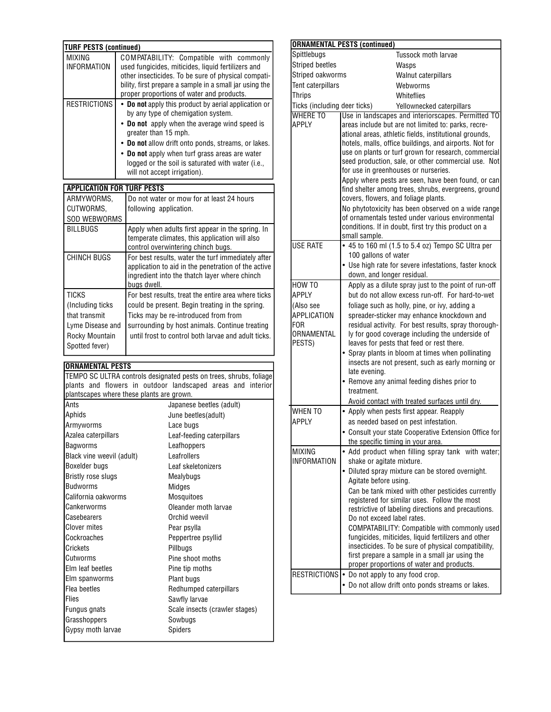| <b>TURF PESTS (continued)</b> |                                                                                                                                                                                                                                                                                                                                                                   |  |
|-------------------------------|-------------------------------------------------------------------------------------------------------------------------------------------------------------------------------------------------------------------------------------------------------------------------------------------------------------------------------------------------------------------|--|
| <b>MIXING</b><br>INFORMATION  | COMPATABILITY: Compatible with commonly<br>used fungicides, miticides, liquid fertilizers and<br>other insecticides. To be sure of physical compati-<br>bility, first prepare a sample in a small jar using the<br>proper proportions of water and products.                                                                                                      |  |
| <b>RESTRICTIONS</b>           | • Do not apply this product by aerial application or<br>by any type of chemigation system.<br>• Do not apply when the average wind speed is<br>greater than 15 mph.<br>• Do not allow drift onto ponds, streams, or lakes.<br>• Do not apply when turf grass areas are water<br>logged or the soil is saturated with water (i.e.,<br>will not accept irrigation). |  |

### **APPLICATION FOR TURF PESTS**

| ARMYWORMS.<br>CUTWORMS.                                                                                    | Do not water or mow for at least 24 hours<br>following application.                                                                                                                                                                                     |
|------------------------------------------------------------------------------------------------------------|---------------------------------------------------------------------------------------------------------------------------------------------------------------------------------------------------------------------------------------------------------|
| <b>SOD WEBWORMS</b>                                                                                        |                                                                                                                                                                                                                                                         |
| <b>BILLBUGS</b>                                                                                            | Apply when adults first appear in the spring. In<br>temperate climates, this application will also<br>control overwintering chinch bugs.                                                                                                                |
| <b>CHINCH BUGS</b>                                                                                         | For best results, water the turf immediately after<br>application to aid in the penetration of the active<br>ingredient into the thatch layer where chinch<br>bugs dwell.                                                                               |
| <b>TICKS</b><br>(Including ticks)<br>that transmit<br>Lyme Disease and<br>Rocky Mountain<br>Spotted fever) | For best results, treat the entire area where ticks<br>could be present. Begin treating in the spring.<br>Ticks may be re-introduced from from<br>surrounding by host animals. Continue treating<br>until frost to control both larvae and adult ticks. |

# **ORNAMENTAL PESTS**

TEMPO SC ULTRA controls designated pests on trees, shrubs, foliage plants and flowers in outdoor landscaped areas and interior plantscapes where these plants are grown.

| Ants                      | Japanese beetles (adult)       |
|---------------------------|--------------------------------|
| Aphids                    | June beetles(adult)            |
| Armyworms                 | Lace bugs                      |
| Azalea caterpillars       | Leaf-feeding caterpillars      |
| Bagworms                  | Leafhoppers                    |
| Black vine weevil (adult) | Leafrollers                    |
| Boxelder bugs             | Leaf skeletonizers             |
| Bristly rose slugs        | Mealybugs                      |
| <b>Budworms</b>           | Midges                         |
| California oakworms       | Mosquitoes                     |
| Cankerworms               | Oleander moth larvae           |
| Casebearers               | Orchid weevil                  |
| <b>Clover mites</b>       | Pear psylla                    |
| Cockroaches               | Peppertree psyllid             |
| Crickets                  | Pillbugs                       |
| Cutworms                  | Pine shoot moths               |
| Elm leaf beetles          | Pine tip moths                 |
| Elm spanworms             | Plant bugs                     |
| Flea beetles              | Redhumped caterpillars         |
| Flies                     | Sawfly larvae                  |
| Fungus gnats              | Scale insects (crawler stages) |
| Grasshoppers              | Sowbugs                        |
| Gypsy moth larvae         | Spiders                        |
|                           |                                |

|                                            | <b>ORNAMENTAL PESTS (continued)</b>                                                                                                                                                                                                                                                                                                                                                                                                                                                                                                                                                                                                                                                                                             |  |
|--------------------------------------------|---------------------------------------------------------------------------------------------------------------------------------------------------------------------------------------------------------------------------------------------------------------------------------------------------------------------------------------------------------------------------------------------------------------------------------------------------------------------------------------------------------------------------------------------------------------------------------------------------------------------------------------------------------------------------------------------------------------------------------|--|
| Spittlebugs                                | Tussock moth larvae                                                                                                                                                                                                                                                                                                                                                                                                                                                                                                                                                                                                                                                                                                             |  |
| <b>Striped beetles</b>                     | Wasps                                                                                                                                                                                                                                                                                                                                                                                                                                                                                                                                                                                                                                                                                                                           |  |
| Striped oakworms                           | Walnut caterpillars                                                                                                                                                                                                                                                                                                                                                                                                                                                                                                                                                                                                                                                                                                             |  |
| <b>Tent caterpillars</b>                   | Webworms                                                                                                                                                                                                                                                                                                                                                                                                                                                                                                                                                                                                                                                                                                                        |  |
| <b>Thrips</b>                              | Whiteflies                                                                                                                                                                                                                                                                                                                                                                                                                                                                                                                                                                                                                                                                                                                      |  |
| Ticks (including deer ticks)               | Yellownecked caterpillars                                                                                                                                                                                                                                                                                                                                                                                                                                                                                                                                                                                                                                                                                                       |  |
| <b>WHERE TO</b><br>APPLY                   | Use in landscapes and interiorscapes. Permitted TO<br>areas include but are not limited to: parks, recre-<br>ational areas, athletic fields, institutional grounds,<br>hotels, malls, office buildings, and airports. Not for<br>use on plants or turf grown for research, commercial<br>seed production, sale, or other commercial use. Not<br>for use in greenhouses or nurseries.<br>Apply where pests are seen, have been found, or can<br>find shelter among trees, shrubs, evergreens, ground<br>covers, flowers, and foliage plants.<br>No phytotoxicity has been observed on a wide range<br>of ornamentals tested under various environmental<br>conditions. If in doubt, first try this product on a<br>small sample. |  |
| <b>USE RATE</b>                            | • 45 to 160 ml (1.5 to 5.4 oz) Tempo SC Ultra per<br>100 gallons of water<br>• Use high rate for severe infestations, faster knock                                                                                                                                                                                                                                                                                                                                                                                                                                                                                                                                                                                              |  |
|                                            | down, and longer residual.                                                                                                                                                                                                                                                                                                                                                                                                                                                                                                                                                                                                                                                                                                      |  |
| HOW TO                                     | Apply as a dilute spray just to the point of run-off                                                                                                                                                                                                                                                                                                                                                                                                                                                                                                                                                                                                                                                                            |  |
| APPI Y                                     | but do not allow excess run-off. For hard-to-wet                                                                                                                                                                                                                                                                                                                                                                                                                                                                                                                                                                                                                                                                                |  |
| (Also see                                  | foliage such as holly, pine, or ivy, adding a                                                                                                                                                                                                                                                                                                                                                                                                                                                                                                                                                                                                                                                                                   |  |
| APPLICATION<br>FOR<br>ORNAMENTAL<br>PESTS) | spreader-sticker may enhance knockdown and<br>residual activity. For best results, spray thorough-<br>ly for good coverage including the underside of<br>leaves for pests that feed or rest there.                                                                                                                                                                                                                                                                                                                                                                                                                                                                                                                              |  |
|                                            | • Spray plants in bloom at times when pollinating<br>insects are not present, such as early morning or<br>late evening.                                                                                                                                                                                                                                                                                                                                                                                                                                                                                                                                                                                                         |  |
|                                            | • Remove any animal feeding dishes prior to<br>treatment.                                                                                                                                                                                                                                                                                                                                                                                                                                                                                                                                                                                                                                                                       |  |
|                                            | Avoid contact with treated surfaces until dry.                                                                                                                                                                                                                                                                                                                                                                                                                                                                                                                                                                                                                                                                                  |  |
| <b>WHEN TO</b>                             | • Apply when pests first appear. Reapply                                                                                                                                                                                                                                                                                                                                                                                                                                                                                                                                                                                                                                                                                        |  |
| APPLY                                      | as needed based on pest infestation.                                                                                                                                                                                                                                                                                                                                                                                                                                                                                                                                                                                                                                                                                            |  |
|                                            | • Consult your state Cooperative Extension Office for<br>the specific timing in your area.                                                                                                                                                                                                                                                                                                                                                                                                                                                                                                                                                                                                                                      |  |
| <b>MIXING</b><br><b>INFORMATION</b>        | • Add product when filling spray tank with water;<br>shake or agitate mixture.                                                                                                                                                                                                                                                                                                                                                                                                                                                                                                                                                                                                                                                  |  |
|                                            | • Diluted spray mixture can be stored overnight.<br>Agitate before using.                                                                                                                                                                                                                                                                                                                                                                                                                                                                                                                                                                                                                                                       |  |
|                                            | Can be tank mixed with other pesticides currently<br>registered for similar uses. Follow the most<br>restrictive of labeling directions and precautions.<br>Do not exceed label rates.                                                                                                                                                                                                                                                                                                                                                                                                                                                                                                                                          |  |
|                                            | COMPATABILITY: Compatible with commonly used<br>fungicides, miticides, liquid fertilizers and other<br>insecticides. To be sure of physical compatibility,<br>first prepare a sample in a small jar using the<br>proper proportions of water and products.                                                                                                                                                                                                                                                                                                                                                                                                                                                                      |  |
| RESTRICTIONS                               | • Do not apply to any food crop.<br>• Do not allow drift onto ponds streams or lakes.                                                                                                                                                                                                                                                                                                                                                                                                                                                                                                                                                                                                                                           |  |
|                                            |                                                                                                                                                                                                                                                                                                                                                                                                                                                                                                                                                                                                                                                                                                                                 |  |